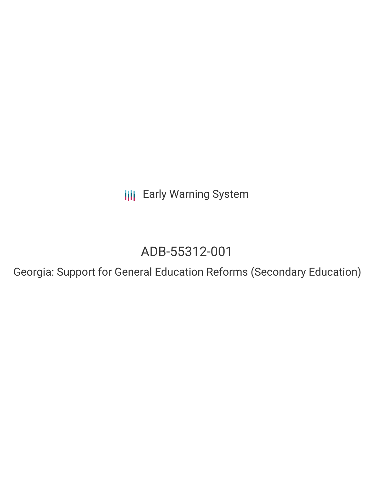**III** Early Warning System

# ADB-55312-001

Georgia: Support for General Education Reforms (Secondary Education)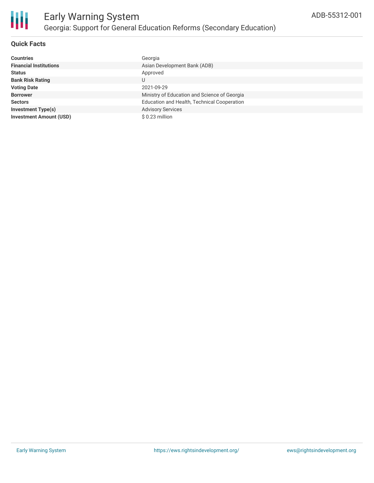

## **Quick Facts**

| <b>Countries</b>               | Georgia                                      |
|--------------------------------|----------------------------------------------|
| <b>Financial Institutions</b>  | Asian Development Bank (ADB)                 |
| <b>Status</b>                  | Approved                                     |
| <b>Bank Risk Rating</b>        | U                                            |
| <b>Voting Date</b>             | 2021-09-29                                   |
| <b>Borrower</b>                | Ministry of Education and Science of Georgia |
| <b>Sectors</b>                 | Education and Health, Technical Cooperation  |
| <b>Investment Type(s)</b>      | <b>Advisory Services</b>                     |
| <b>Investment Amount (USD)</b> | \$ 0.23 million                              |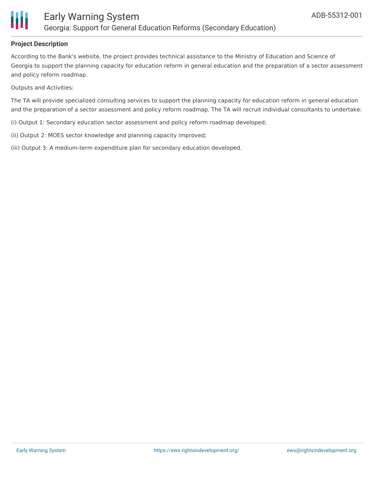

### **Project Description**

According to the Bank's website, the project provides technical assistance to the Ministry of Education and Science of Georgia to support the planning capacity for education reform in general education and the preparation of a sector assessment and policy reform roadmap.

Outputs and Activities:

The TA will provide specialized consulting services to support the planning capacity for education reform in general education and the preparation of a sector assessment and policy reform roadmap. The TA will recruit individual consultants to undertake:

(i) Output 1: Secondary education sector assessment and policy reform roadmap developed;

(ii) Output 2: MOES sector knowledge and planning capacity improved;

(iii) Output 3: A medium-term expenditure plan for secondary education developed.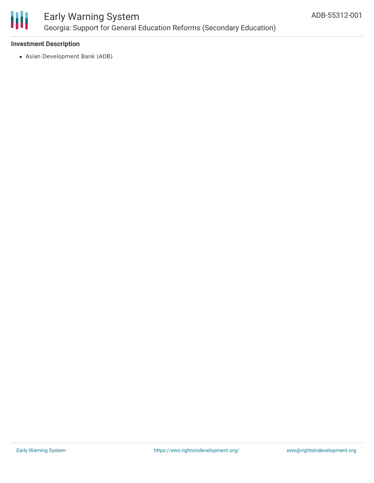

# Early Warning System Georgia: Support for General Education Reforms (Secondary Education)

### **Investment Description**

Asian Development Bank (ADB)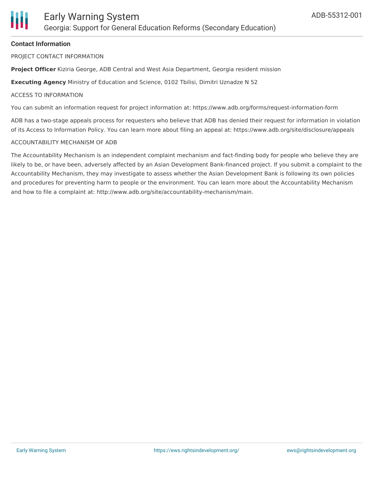

### **Contact Information**

PROJECT CONTACT INFORMATION

**Project Officer** Kiziria George, ADB Central and West Asia Department, Georgia resident mission

**Executing Agency** Ministry of Education and Science, 0102 Tbilisi, Dimitri Uznadze N 52

#### ACCESS TO INFORMATION

You can submit an information request for project information at: https://www.adb.org/forms/request-information-form

ADB has a two-stage appeals process for requesters who believe that ADB has denied their request for information in violation of its Access to Information Policy. You can learn more about filing an appeal at: https://www.adb.org/site/disclosure/appeals

#### ACCOUNTABILITY MECHANISM OF ADB

The Accountability Mechanism is an independent complaint mechanism and fact-finding body for people who believe they are likely to be, or have been, adversely affected by an Asian Development Bank-financed project. If you submit a complaint to the Accountability Mechanism, they may investigate to assess whether the Asian Development Bank is following its own policies and procedures for preventing harm to people or the environment. You can learn more about the Accountability Mechanism and how to file a complaint at: http://www.adb.org/site/accountability-mechanism/main.